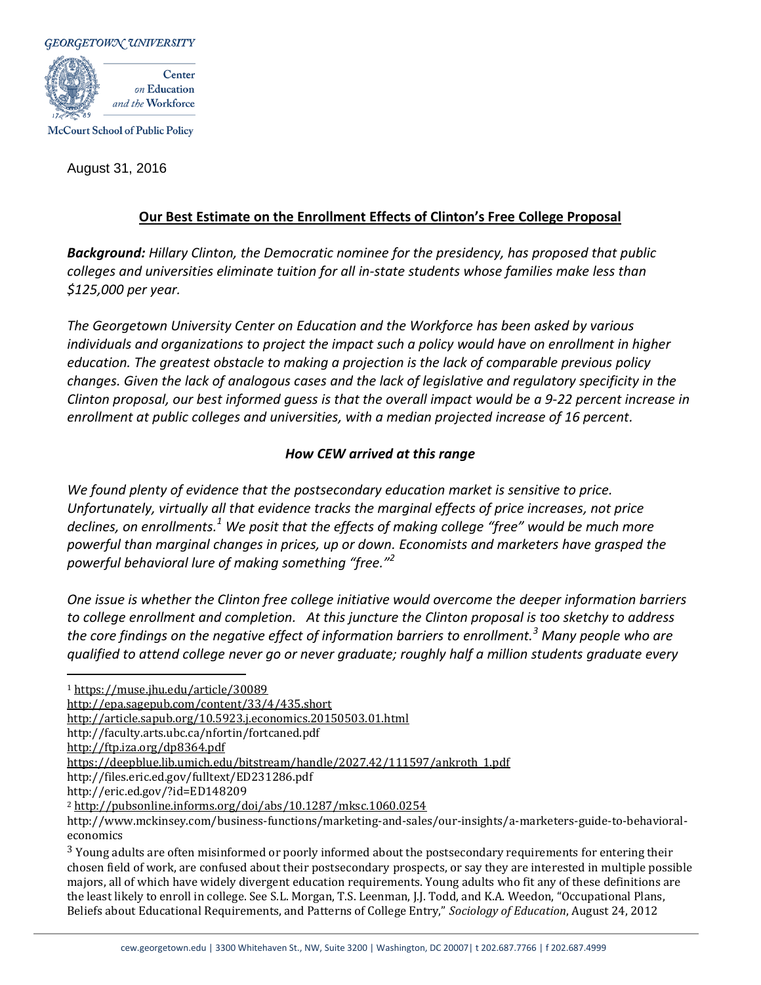

McCourt School of Public Policy

August 31, 2016

# **Our Best Estimate on the Enrollment Effects of Clinton's Free College Proposal**

*Background: Hillary Clinton, the Democratic nominee for the presidency, has proposed that public colleges and universities eliminate tuition for all in-state students whose families make less than \$125,000 per year.* 

*The Georgetown University Center on Education and the Workforce has been asked by various individuals and organizations to project the impact such a policy would have on enrollment in higher education. The greatest obstacle to making a projection is the lack of comparable previous policy changes. Given the lack of analogous cases and the lack of legislative and regulatory specificity in the Clinton proposal, our best informed guess is that the overall impact would be a 9-22 percent increase in enrollment at public colleges and universities, with a median projected increase of 16 percent.* 

# *How CEW arrived at this range*

*We found plenty of evidence that the postsecondary education market is sensitive to price. Unfortunately, virtually all that evidence tracks the marginal effects of price increases, not price declines, on enrollments. <sup>1</sup> We posit that the effects of making college "free" would be much more powerful than marginal changes in prices, up or down. Economists and marketers have grasped the powerful behavioral lure of making something "free."<sup>2</sup>*

*One issue is whether the Clinton free college initiative would overcome the deeper information barriers to college enrollment and completion. At this juncture the Clinton proposal is too sketchy to address the core findings on the negative effect of information barriers to enrollment.<sup>3</sup> Many people who are qualified to attend college never go or never graduate; roughly half a million students graduate every* 

<sup>1</sup> <https://muse.jhu.edu/article/30089>

<http://epa.sagepub.com/content/33/4/435.short>

<http://article.sapub.org/10.5923.j.economics.20150503.01.html>

http://faculty.arts.ubc.ca/nfortin/fortcaned.pdf

<http://ftp.iza.org/dp8364.pdf>

 $\overline{a}$ 

[https://deepblue.lib.umich.edu/bitstream/handle/2027.42/111597/ankroth\\_1.pdf](https://deepblue.lib.umich.edu/bitstream/handle/2027.42/111597/ankroth_1.pdf)

http://files.eric.ed.gov/fulltext/ED231286.pdf

<sup>3</sup> Young adults are often misinformed or poorly informed about the postsecondary requirements for entering their chosen field of work, are confused about their postsecondary prospects, or say they are interested in multiple possible majors, all of which have widely divergent education requirements. Young adults who fit any of these definitions are the least likely to enroll in college. See S.L. Morgan, T.S. Leenman, J.J. Todd, and K.A. Weedon, "Occupational Plans, Beliefs about Educational Requirements, and Patterns of College Entry," *Sociology of Education*, August 24, 2012

http://eric.ed.gov/?id=ED148209

<sup>2</sup> <http://pubsonline.informs.org/doi/abs/10.1287/mksc.1060.0254>

http://www.mckinsey.com/business-functions/marketing-and-sales/our-insights/a-marketers-guide-to-behavioraleconomics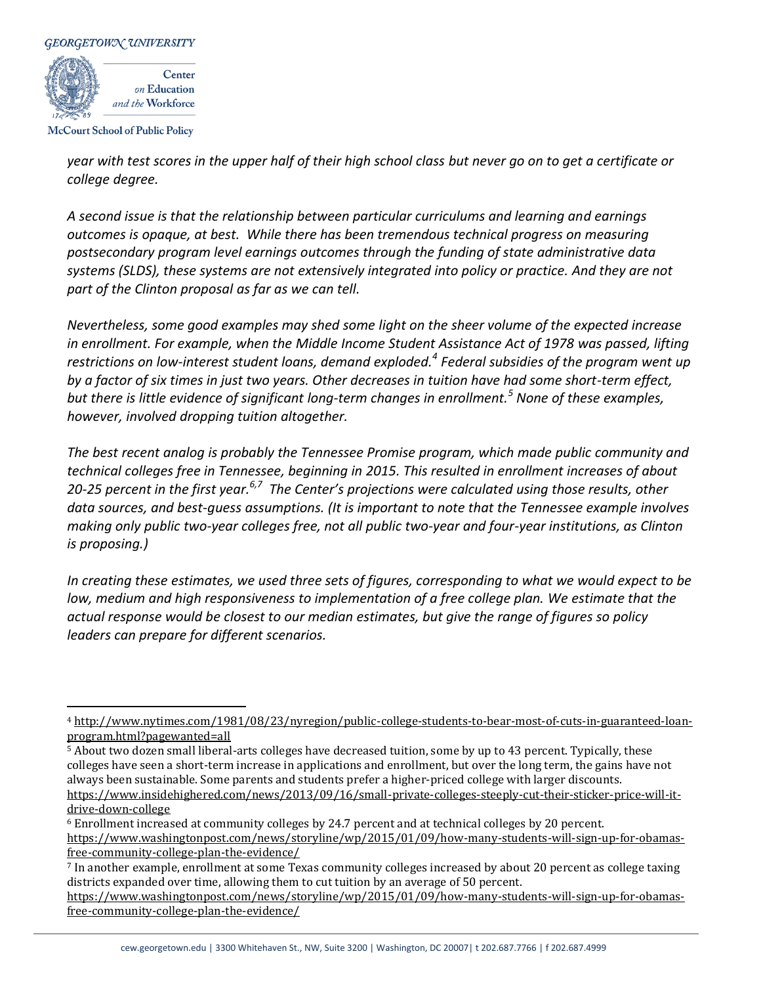

**McCourt School of Public Policy** 

*year with test scores in the upper half of their high school class but never go on to get a certificate or college degree.* 

*A second issue is that the relationship between particular curriculums and learning and earnings outcomes is opaque, at best. While there has been tremendous technical progress on measuring postsecondary program level earnings outcomes through the funding of state administrative data systems (SLDS), these systems are not extensively integrated into policy or practice. And they are not part of the Clinton proposal as far as we can tell.* 

*Nevertheless, some good examples may shed some light on the sheer volume of the expected increase in enrollment. For example, when the Middle Income Student Assistance Act of 1978 was passed, lifting restrictions on low-interest student loans, demand exploded.<sup>4</sup> Federal subsidies of the program went up by a factor of six times in just two years. Other decreases in tuition have had some short-term effect, but there is little evidence of significant long-term changes in enrollment.<sup>5</sup> None of these examples, however, involved dropping tuition altogether.*

*The best recent analog is probably the Tennessee Promise program, which made public community and technical colleges free in Tennessee, beginning in 2015. This resulted in enrollment increases of about 20-25 percent in the first year. 6,7 The Center's projections were calculated using those results, other data sources, and best-guess assumptions. (It is important to note that the Tennessee example involves making only public two-year colleges free, not all public two-year and four-year institutions, as Clinton is proposing.)*

*In creating these estimates, we used three sets of figures, corresponding to what we would expect to be low, medium and high responsiveness to implementation of a free college plan. We estimate that the actual response would be closest to our median estimates, but give the range of figures so policy leaders can prepare for different scenarios.*

[free-community-college-plan-the-evidence/](https://www.washingtonpost.com/news/storyline/wp/2015/01/09/how-many-students-will-sign-up-for-obamas-free-community-college-plan-the-evidence/)

 $\overline{a}$ 

<sup>4</sup> [http://www.nytimes.com/1981/08/23/nyregion/public-college-students-to-bear-most-of-cuts-in-guaranteed-loan](http://www.nytimes.com/1981/08/23/nyregion/public-college-students-to-bear-most-of-cuts-in-guaranteed-loan-program.html?pagewanted=all)[program.html?pagewanted=all](http://www.nytimes.com/1981/08/23/nyregion/public-college-students-to-bear-most-of-cuts-in-guaranteed-loan-program.html?pagewanted=all)

<sup>5</sup> About two dozen small liberal-arts colleges have decreased tuition, some by up to 43 percent. Typically, these colleges have seen a short-term increase in applications and enrollment, but over the long term, the gains have not always been sustainable. Some parents and students prefer a higher-priced college with larger discounts. [https://www.insidehighered.com/news/2013/09/16/small-private-colleges-steeply-cut-their-sticker-price-will-it](https://www.insidehighered.com/news/2013/09/16/small-private-colleges-steeply-cut-their-sticker-price-will-it-drive-down-college)[drive-down-college](https://www.insidehighered.com/news/2013/09/16/small-private-colleges-steeply-cut-their-sticker-price-will-it-drive-down-college)

<sup>6</sup> Enrollment increased at community colleges by 24.7 percent and at technical colleges by 20 percent. [https://www.washingtonpost.com/news/storyline/wp/2015/01/09/how-many-students-will-sign-up-for-obamas-](https://www.washingtonpost.com/news/storyline/wp/2015/01/09/how-many-students-will-sign-up-for-obamas-free-community-college-plan-the-evidence/)

<sup>7</sup> In another example, enrollment at some Texas community colleges increased by about 20 percent as college taxing districts expanded over time, allowing them to cut tuition by an average of 50 percent.

[https://www.washingtonpost.com/news/storyline/wp/2015/01/09/how-many-students-will-sign-up-for-obamas](https://www.washingtonpost.com/news/storyline/wp/2015/01/09/how-many-students-will-sign-up-for-obamas-free-community-college-plan-the-evidence/)[free-community-college-plan-the-evidence/](https://www.washingtonpost.com/news/storyline/wp/2015/01/09/how-many-students-will-sign-up-for-obamas-free-community-college-plan-the-evidence/)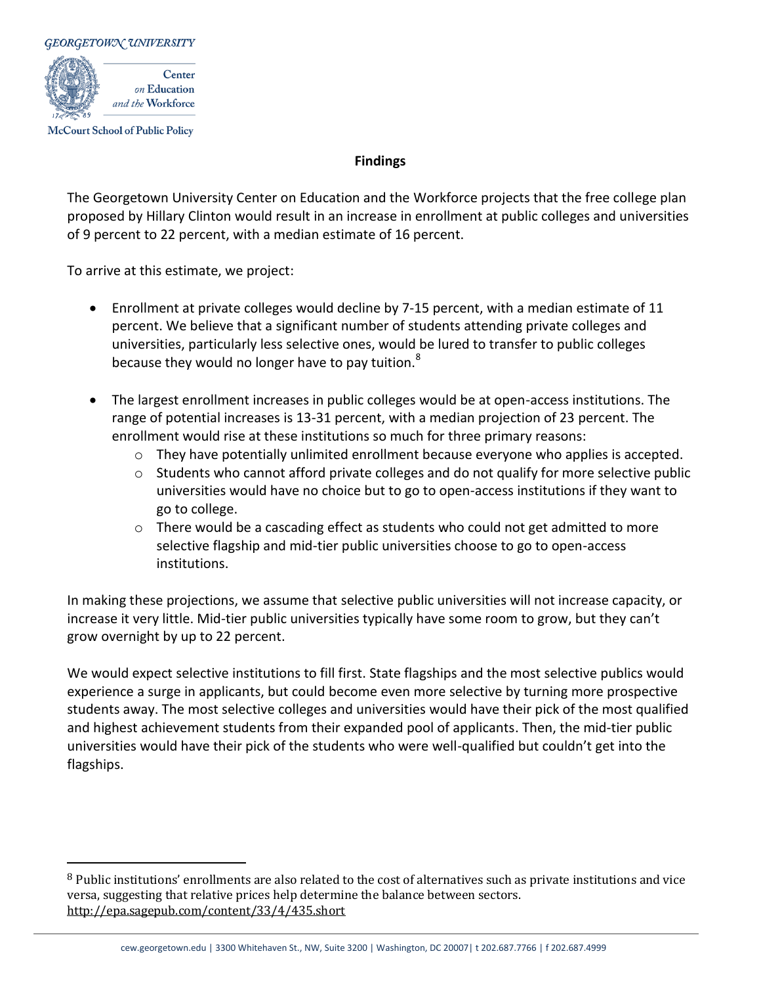

**McCourt School of Public Policy** 

 $\overline{a}$ 

### **Findings**

The Georgetown University Center on Education and the Workforce projects that the free college plan proposed by Hillary Clinton would result in an increase in enrollment at public colleges and universities of 9 percent to 22 percent, with a median estimate of 16 percent.

To arrive at this estimate, we project:

- Enrollment at private colleges would decline by 7-15 percent, with a median estimate of 11 percent. We believe that a significant number of students attending private colleges and universities, particularly less selective ones, would be lured to transfer to public colleges because they would no longer have to pay tuition.<sup>8</sup>
- The largest enrollment increases in public colleges would be at open-access institutions. The range of potential increases is 13-31 percent, with a median projection of 23 percent. The enrollment would rise at these institutions so much for three primary reasons:
	- $\circ$  They have potentially unlimited enrollment because everyone who applies is accepted.
	- $\circ$  Students who cannot afford private colleges and do not qualify for more selective public universities would have no choice but to go to open-access institutions if they want to go to college.
	- $\circ$  There would be a cascading effect as students who could not get admitted to more selective flagship and mid-tier public universities choose to go to open-access institutions.

In making these projections, we assume that selective public universities will not increase capacity, or increase it very little. Mid-tier public universities typically have some room to grow, but they can't grow overnight by up to 22 percent.

We would expect selective institutions to fill first. State flagships and the most selective publics would experience a surge in applicants, but could become even more selective by turning more prospective students away. The most selective colleges and universities would have their pick of the most qualified and highest achievement students from their expanded pool of applicants. Then, the mid-tier public universities would have their pick of the students who were well-qualified but couldn't get into the flagships.

<sup>&</sup>lt;sup>8</sup> Public institutions' enrollments are also related to the cost of alternatives such as private institutions and vice versa, suggesting that relative prices help determine the balance between sectors. <http://epa.sagepub.com/content/33/4/435.short>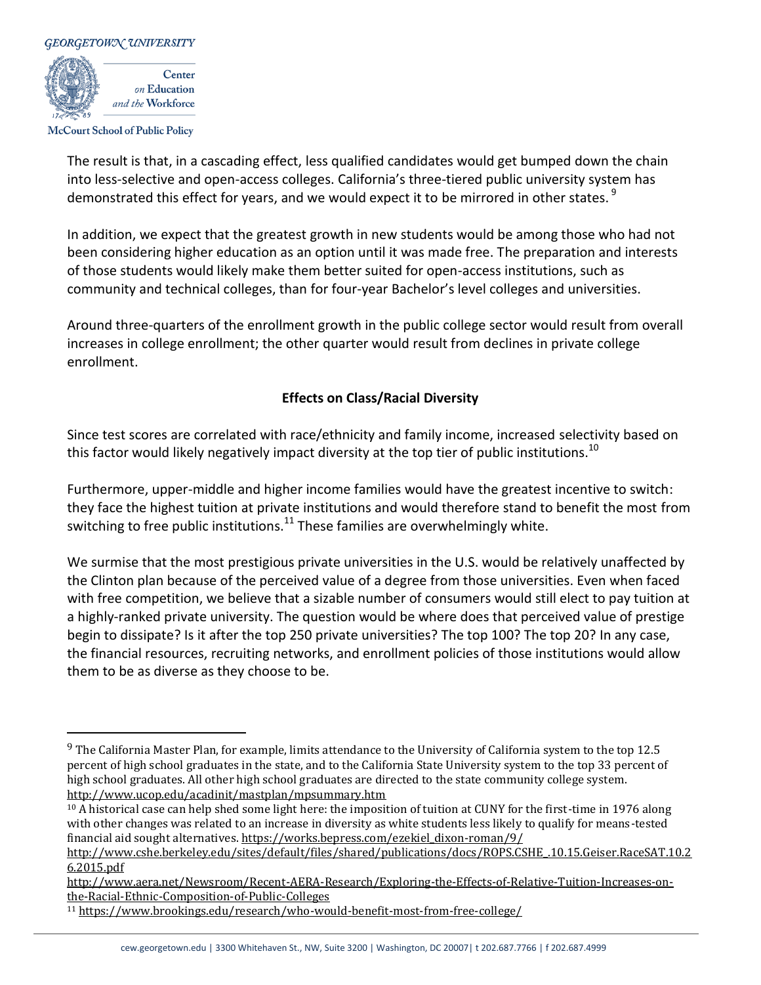

**McCourt School of Public Policy** 

 $\overline{a}$ 

The result is that, in a cascading effect, less qualified candidates would get bumped down the chain into less-selective and open-access colleges. California's three-tiered public university system has demonstrated this effect for years, and we would expect it to be mirrored in other states.<sup>9</sup>

In addition, we expect that the greatest growth in new students would be among those who had not been considering higher education as an option until it was made free. The preparation and interests of those students would likely make them better suited for open-access institutions, such as community and technical colleges, than for four-year Bachelor's level colleges and universities.

Around three-quarters of the enrollment growth in the public college sector would result from overall increases in college enrollment; the other quarter would result from declines in private college enrollment.

### **Effects on Class/Racial Diversity**

Since test scores are correlated with race/ethnicity and family income, increased selectivity based on this factor would likely negatively impact diversity at the top tier of public institutions.<sup>10</sup>

Furthermore, upper-middle and higher income families would have the greatest incentive to switch: they face the highest tuition at private institutions and would therefore stand to benefit the most from switching to free public institutions.<sup>11</sup> These families are overwhelmingly white.

We surmise that the most prestigious private universities in the U.S. would be relatively unaffected by the Clinton plan because of the perceived value of a degree from those universities. Even when faced with free competition, we believe that a sizable number of consumers would still elect to pay tuition at a highly-ranked private university. The question would be where does that perceived value of prestige begin to dissipate? Is it after the top 250 private universities? The top 100? The top 20? In any case, the financial resources, recruiting networks, and enrollment policies of those institutions would allow them to be as diverse as they choose to be.

<sup>9</sup> The California Master Plan, for example, limits attendance to the University of California system to the top 12.5 percent of high school graduates in the state, and to the California State University system to the top 33 percent of high school graduates. All other high school graduates are directed to the state community college system. <http://www.ucop.edu/acadinit/mastplan/mpsummary.htm>

<sup>10</sup> A historical case can help shed some light here: the imposition of tuition at CUNY for the first-time in 1976 along with other changes was related to an increase in diversity as white students less likely to qualify for means-tested financial aid sought alternatives[. https://works.bepress.com/ezekiel\\_dixon-roman/9/](https://works.bepress.com/ezekiel_dixon-roman/9/)

[http://www.cshe.berkeley.edu/sites/default/files/shared/publications/docs/ROPS.CSHE\\_.10.15.Geiser.RaceSAT.10.2](http://www.cshe.berkeley.edu/sites/default/files/shared/publications/docs/ROPS.CSHE_.10.15.Geiser.RaceSAT.10.26.2015.pdf) [6.2015.pdf](http://www.cshe.berkeley.edu/sites/default/files/shared/publications/docs/ROPS.CSHE_.10.15.Geiser.RaceSAT.10.26.2015.pdf)

[http://www.aera.net/Newsroom/Recent-AERA-Research/Exploring-the-Effects-of-Relative-Tuition-Increases-on](http://www.aera.net/Newsroom/Recent-AERA-Research/Exploring-the-Effects-of-Relative-Tuition-Increases-on-the-Racial-Ethnic-Composition-of-Public-Colleges)[the-Racial-Ethnic-Composition-of-Public-Colleges](http://www.aera.net/Newsroom/Recent-AERA-Research/Exploring-the-Effects-of-Relative-Tuition-Increases-on-the-Racial-Ethnic-Composition-of-Public-Colleges)

<sup>11</sup> <https://www.brookings.edu/research/who-would-benefit-most-from-free-college/>